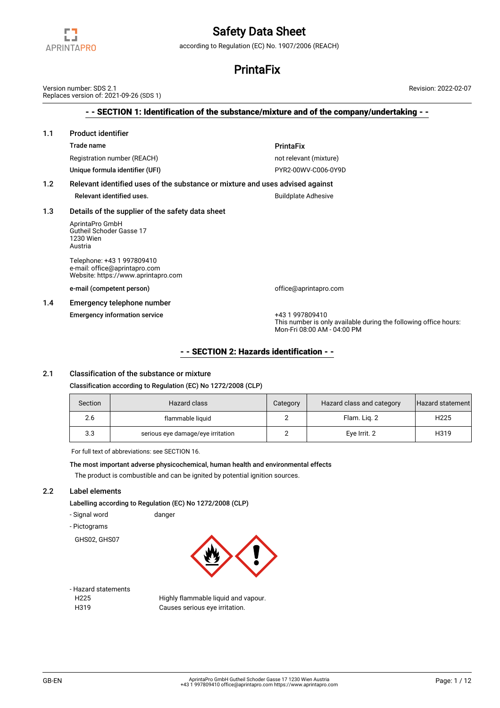

according to Regulation (EC) No. 1907/2006 (REACH)

## **PrintaFix**

- - SECTION 1: Identification of the substance/mixture and of the company/undertaking - - 1.1 Product identifier Trade name **PrintaFix** Registration number (REACH) not relevant (mixture) Unique formula identifier (UFI) example and the pyrate of PYR2-00WV-C006-0Y9D 1.2 Relevant identified uses of the substance or mixture and uses advised against Relevant identified uses. The set of the set of the Buildplate Adhesive 1.3 Details of the supplier of the safety data sheet AprintaPro GmbH Gutheil Schoder Gasse 17 1230 Wien Austria Telephone: +43 1 997809410 e-mail: office@aprintapro.com Website: https://www.aprintapro.com e-mail (competent person) and the competent of fice@aprintapro.com 1.4 Emergency telephone number Emergency information service +43 1 997809410 This number is only available during the following office hours: Mon-Fri 08:00 AM - 04:00 PM Version number: SDS 2.1 Replaces version of: 2021-09-26 (SDS 1) Revision: 2022-02-07

## - - SECTION 2: Hazards identification - -

## 2.1 Classification of the substance or mixture

#### Classification according to Regulation (EC) No 1272/2008 (CLP)

| Section | Hazard class                      | Category | Hazard class and category | Hazard statement |
|---------|-----------------------------------|----------|---------------------------|------------------|
| 2.6     | flammable liquid                  |          | Flam. Lig. 2              | H <sub>225</sub> |
| 3.3     | serious eye damage/eye irritation |          | Eye Irrit. 2              | H319             |

For full text of abbreviations: see SECTION 16.

The most important adverse physicochemical, human health and environmental effects The product is combustible and can be ignited by potential ignition sources.

### 2.2 Label elements

Labelling according to Regulation (EC) No 1272/2008 (CLP)

- Signal word danger
- Pictograms

GHS02, GHS07



- Hazard statements

H225 Highly flammable liquid and vapour. H319 Causes serious eye irritation.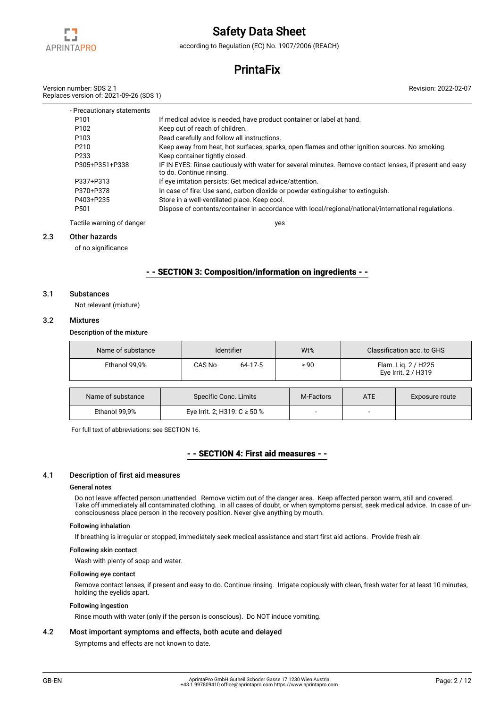

according to Regulation (EC) No. 1907/2006 (REACH)

## **PrintaFix**

Version number: SDS 2.1 Replaces version of: 2021-09-26 (SDS 1)

| - Precautionary statements |                                                                                                                                     |
|----------------------------|-------------------------------------------------------------------------------------------------------------------------------------|
| P <sub>101</sub>           | If medical advice is needed, have product container or label at hand.                                                               |
| P <sub>102</sub>           | Keep out of reach of children.                                                                                                      |
| P <sub>103</sub>           | Read carefully and follow all instructions.                                                                                         |
| P <sub>210</sub>           | Keep away from heat, hot surfaces, sparks, open flames and other ignition sources. No smoking.                                      |
| P233                       | Keep container tightly closed.                                                                                                      |
| P305+P351+P338             | IF IN EYES: Rinse cautiously with water for several minutes. Remove contact lenses, if present and easy<br>to do. Continue rinsing. |
| P337+P313                  | If eye irritation persists: Get medical advice/attention.                                                                           |
| P370+P378                  | In case of fire: Use sand, carbon dioxide or powder extinguisher to extinguish.                                                     |
| P403+P235                  | Store in a well-ventilated place. Keep cool.                                                                                        |
| P <sub>501</sub>           | Dispose of contents/container in accordance with local/regional/national/international regulations.                                 |
| Tactile warning of danger  | ves                                                                                                                                 |

#### 2.3 Other hazards

of no significance

### - - SECTION 3: Composition/information on ingredients - -

### 3.1 Substances

Not relevant (mixture)

#### 3.2 Mixtures

Description of the mixture

| Name of substance                          | <b>Identifier</b>            | $Wt\%$ |           | Classification acc. to GHS                 |                |  |
|--------------------------------------------|------------------------------|--------|-----------|--------------------------------------------|----------------|--|
| Ethanol 99.9%                              | CAS No<br>64-17-5            |        | $\geq 90$ | Flam. Liq. 2 / H225<br>Eye Irrit. 2 / H319 |                |  |
|                                            |                              |        |           |                                            |                |  |
| Name of substance<br>Specific Conc. Limits |                              |        | M-Factors | <b>ATE</b>                                 | Exposure route |  |
| Ethanol 99,9%                              | Eye Irrit. 2; H319: C ≥ 50 % |        |           | -                                          |                |  |

For full text of abbreviations: see SECTION 16.

## - - SECTION 4: First aid measures - -

#### 4.1 Description of first aid measures

#### General notes

Do not leave affected person unattended. Remove victim out of the danger area. Keep affected person warm, still and covered. Take off immediately all contaminated clothing. In all cases of doubt, or when symptoms persist, seek medical advice. In case of unconsciousness place person in the recovery position. Never give anything by mouth.

#### Following inhalation

If breathing is irregular or stopped, immediately seek medical assistance and start first aid actions. Provide fresh air.

#### Following skin contact

Wash with plenty of soap and water.

#### Following eye contact

Remove contact lenses, if present and easy to do. Continue rinsing. Irrigate copiously with clean, fresh water for at least 10 minutes, holding the eyelids apart.

#### Following ingestion

Rinse mouth with water (only if the person is conscious). Do NOT induce vomiting.

### 4.2 Most important symptoms and effects, both acute and delayed

Symptoms and effects are not known to date.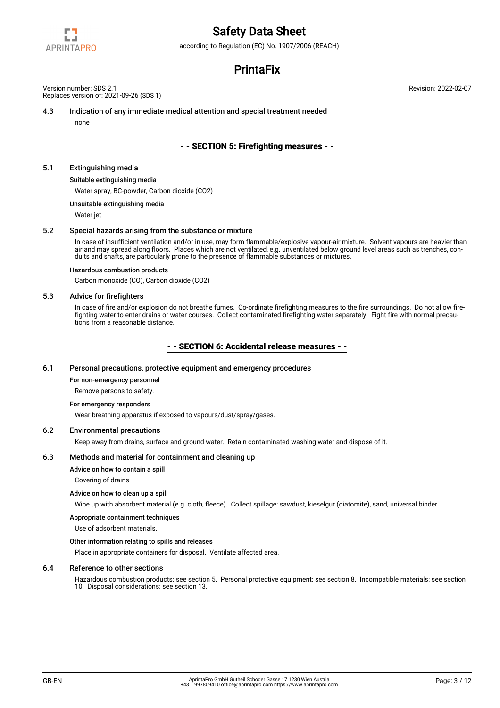

according to Regulation (EC) No. 1907/2006 (REACH)

## **PrintaFix**

Version number: SDS 2.1 Replaces version of: 2021-09-26 (SDS 1)

### 4.3 Indication of any immediate medical attention and special treatment needed

none

## - - SECTION 5: Firefighting measures - -

#### 5.1 Extinguishing media

#### Suitable extinguishing media

Water spray, BC-powder, Carbon dioxide (CO2)

Unsuitable extinguishing media

Water jet

#### 5.2 Special hazards arising from the substance or mixture

In case of insufficient ventilation and/or in use, may form flammable/explosive vapour-air mixture. Solvent vapours are heavier than air and may spread along floors. Places which are not ventilated, e.g. unventilated below ground level areas such as trenches, conduits and shafts, are particularly prone to the presence of flammable substances or mixtures.

#### Hazardous combustion products

Carbon monoxide (CO), Carbon dioxide (CO2)

#### 5.3 Advice for firefighters

In case of fire and/or explosion do not breathe fumes. Co-ordinate firefighting measures to the fire surroundings. Do not allow firefighting water to enter drains or water courses. Collect contaminated firefighting water separately. Fight fire with normal precautions from a reasonable distance.

#### - - SECTION 6: Accidental release measures - -

#### 6.1 Personal precautions, protective equipment and emergency procedures

#### For non-emergency personnel

Remove persons to safety.

#### For emergency responders

Wear breathing apparatus if exposed to vapours/dust/spray/gases.

#### 6.2 Environmental precautions

Keep away from drains, surface and ground water. Retain contaminated washing water and dispose of it.

#### 6.3 Methods and material for containment and cleaning up

Advice on how to contain a spill

Covering of drains

#### Advice on how to clean up a spill

Wipe up with absorbent material (e.g. cloth, fleece). Collect spillage: sawdust, kieselgur (diatomite), sand, universal binder

#### Appropriate containment techniques

Use of adsorbent materials.

#### Other information relating to spills and releases

Place in appropriate containers for disposal. Ventilate affected area.

#### 6.4 Reference to other sections

Hazardous combustion products: see section 5. Personal protective equipment: see section 8. Incompatible materials: see section 10. Disposal considerations: see section 13.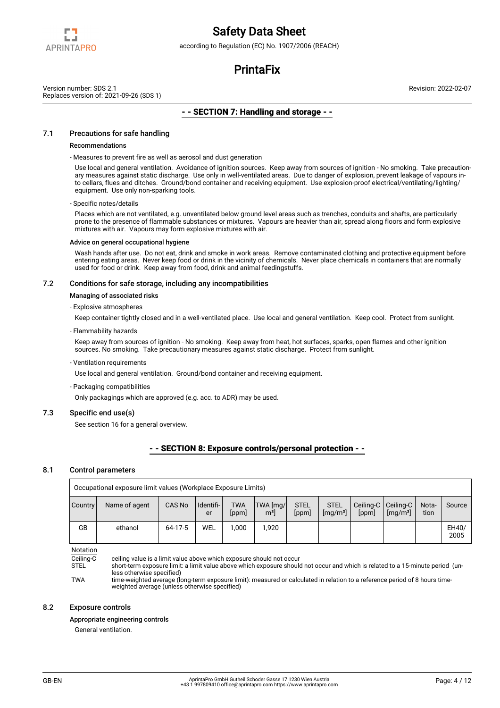

according to Regulation (EC) No. 1907/2006 (REACH)

## **PrintaFix**

Version number: SDS 2.1 Replaces version of: 2021-09-26 (SDS 1) Revision: 2022-02-07

## - - SECTION 7: Handling and storage - -

## 7.1 Precautions for safe handling

#### Recommendations

- Measures to prevent fire as well as aerosol and dust generation

Use local and general ventilation. Avoidance of ignition sources. Keep away from sources of ignition - No smoking. Take precautionary measures against static discharge. Use only in well-ventilated areas. Due to danger of explosion, prevent leakage of vapours into cellars, flues and ditches. Ground/bond container and receiving equipment. Use explosion-proof electrical/ventilating/lighting/ equipment. Use only non-sparking tools.

#### - Specific notes/details

Places which are not ventilated, e.g. unventilated below ground level areas such as trenches, conduits and shafts, are particularly prone to the presence of flammable substances or mixtures. Vapours are heavier than air, spread along floors and form explosive mixtures with air. Vapours may form explosive mixtures with air.

#### Advice on general occupational hygiene

Wash hands after use. Do not eat, drink and smoke in work areas. Remove contaminated clothing and protective equipment before entering eating areas. Never keep food or drink in the vicinity of chemicals. Never place chemicals in containers that are normally used for food or drink. Keep away from food, drink and animal feedingstuffs.

### 7.2 Conditions for safe storage, including any incompatibilities

#### Managing of associated risks

#### - Explosive atmospheres

Keep container tightly closed and in a well-ventilated place. Use local and general ventilation. Keep cool. Protect from sunlight.

#### - Flammability hazards

Keep away from sources of ignition - No smoking. Keep away from heat, hot surfaces, sparks, open flames and other ignition sources. No smoking. Take precautionary measures against static discharge. Protect from sunlight.

- Ventilation requirements

Use local and general ventilation. Ground/bond container and receiving equipment.

- Packaging compatibilities

Only packagings which are approved (e.g. acc. to ADR) may be used.

#### 7.3 Specific end use(s)

See section 16 for a general overview.

## - - SECTION 8: Exposure controls/personal protection - -

#### 8.1 Control parameters

| Occupational exposure limit values (Workplace Exposure Limits) |               |           |                   |                     |                            |                      |                                     |                                |                      |               |               |
|----------------------------------------------------------------|---------------|-----------|-------------------|---------------------|----------------------------|----------------------|-------------------------------------|--------------------------------|----------------------|---------------|---------------|
| Country                                                        | Name of agent | CAS No    | I Identifi-<br>er | <b>TWA</b><br>[ppm] | TWA [mg/<br>m <sup>3</sup> | <b>STEL</b><br>[ppm] | <b>STEL</b><br>[mq/m <sup>3</sup> ] | Ceiling-C   Ceiling-C<br>[ppm] | [mg/m <sup>3</sup> ] | Nota-<br>tion | Source        |
| <b>GB</b>                                                      | ethanol       | $64-17-5$ | <b>WEL</b>        | 000.1               | .920                       |                      |                                     |                                |                      |               | EH40/<br>2005 |

### Notation

Ceiling-C ceiling value is a limit value above which exposure should not occur<br>STEL short-term exposure limit: a limit value above which exposure should short-term exposure limit: a limit value above which exposure should not occur and which is related to a 15-minute period (un-

less otherwise specified) TWA time-weighted average (long-term exposure limit): measured or calculated in relation to a reference period of 8 hours timeweighted average (unless otherwise specified)

#### 8.2 Exposure controls

#### Appropriate engineering controls

General ventilation.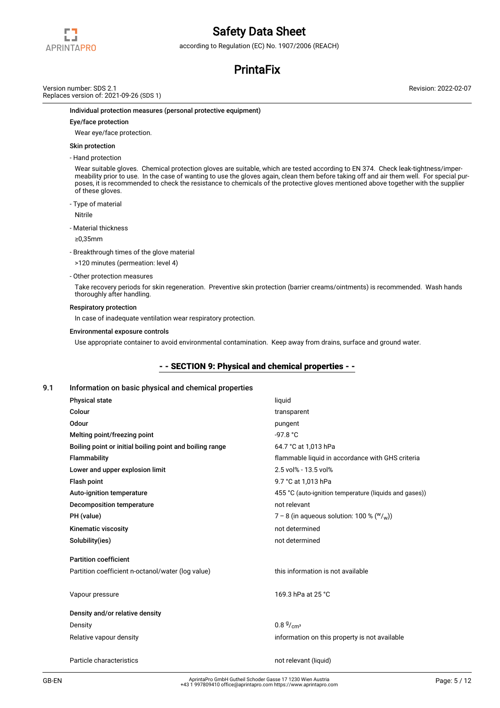

according to Regulation (EC) No. 1907/2006 (REACH)

## **PrintaFix**

Version number: SDS 2.1 Replaces version of: 2021-09-26 (SDS 1) Revision: 2022-02-07

#### Individual protection measures (personal protective equipment)

#### Eye/face protection

Wear eye/face protection.

### Skin protection

- Hand protection

Wear suitable gloves. Chemical protection gloves are suitable, which are tested according to EN 374. Check leak-tightness/impermeability prior to use. In the case of wanting to use the gloves again, clean them before taking off and air them well. For special purposes, it is recommended to check the resistance to chemicals of the protective gloves mentioned above together with the supplier of these gloves.

- Type of material

Nitrile

- Material thickness

≥0,35mm

- Breakthrough times of the glove material

>120 minutes (permeation: level 4)

- Other protection measures

Take recovery periods for skin regeneration. Preventive skin protection (barrier creams/ointments) is recommended. Wash hands thoroughly after handling.

#### Respiratory protection

In case of inadequate ventilation wear respiratory protection.

#### Environmental exposure controls

Use appropriate container to avoid environmental contamination. Keep away from drains, surface and ground water.

## - - SECTION 9: Physical and chemical properties - -

#### 9.1 Information on basic physical and chemical properties

| <b>Physical state</b>                                    | liquid                                                 |
|----------------------------------------------------------|--------------------------------------------------------|
| Colour                                                   | transparent                                            |
| Odour                                                    | pungent                                                |
| Melting point/freezing point                             | $-97.8 °C$                                             |
| Boiling point or initial boiling point and boiling range | 64.7 °C at 1,013 hPa                                   |
| Flammability                                             | flammable liquid in accordance with GHS criteria       |
| Lower and upper explosion limit                          | 2.5 vol% - 13.5 vol%                                   |
| Flash point                                              | 9.7 °C at 1,013 hPa                                    |
| Auto-ignition temperature                                | 455 °C (auto-ignition temperature (liquids and gases)) |
| Decomposition temperature                                | not relevant                                           |
| PH (value)                                               | 7 – 8 (in aqueous solution: 100 % ( $W/\text{w}$ ))    |
| Kinematic viscosity                                      | not determined                                         |
| Solubility(ies)                                          | not determined                                         |
| <b>Partition coefficient</b>                             |                                                        |
| Partition coefficient n-octanol/water (log value)        | this information is not available                      |
| Vapour pressure                                          | 169.3 hPa at 25 °C                                     |
| Density and/or relative density                          |                                                        |
| Density                                                  | $0.8\frac{g}{m^3}$                                     |
| Relative vapour density                                  | information on this property is not available          |
| Particle characteristics                                 | not relevant (liquid)                                  |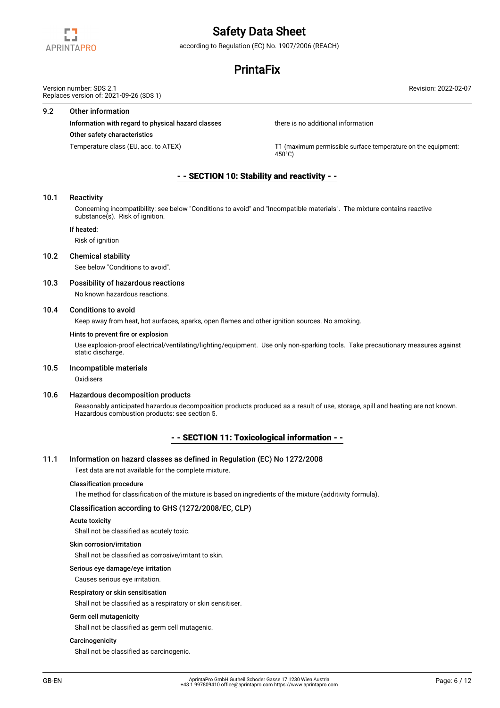

according to Regulation (EC) No. 1907/2006 (REACH)

## **PrintaFix**

Revision: 2022-02-07

Version number: SDS 2.1 Replaces version of: 2021-09-26 (SDS 1)

#### 9.2 Other information

Information with regard to physical hazard classes there is no additional information

#### Other safety characteristics

Temperature class (EU, acc. to ATEX) THE STATE THEORY TO CONSIDENTIAL CONSIDE Surface temperature on the equipment:  $450^{\circ}$ C)

## - - SECTION 10: Stability and reactivity - -

#### 10.1 Reactivity

Concerning incompatibility: see below "Conditions to avoid" and "Incompatible materials". The mixture contains reactive substance(s). Risk of ignition.

#### If heated:

Risk of ignition

### 10.2 Chemical stability

See below "Conditions to avoid".

#### 10.3 Possibility of hazardous reactions

No known hazardous reactions.

### 10.4 Conditions to avoid

Keep away from heat, hot surfaces, sparks, open flames and other ignition sources. No smoking.

#### Hints to prevent fire or explosion

Use explosion-proof electrical/ventilating/lighting/equipment. Use only non-sparking tools. Take precautionary measures against static discharge.

#### 10.5 Incompatible materials

**Oxidisers** 

#### 10.6 Hazardous decomposition products

Reasonably anticipated hazardous decomposition products produced as a result of use, storage, spill and heating are not known. Hazardous combustion products: see section 5.

## - - SECTION 11: Toxicological information - -

#### 11.1 Information on hazard classes as defined in Regulation (EC) No 1272/2008

Test data are not available for the complete mixture.

#### Classification procedure

The method for classification of the mixture is based on ingredients of the mixture (additivity formula).

#### Classification according to GHS (1272/2008/EC, CLP)

#### Acute toxicity

Shall not be classified as acutely toxic.

#### Skin corrosion/irritation

Shall not be classified as corrosive/irritant to skin.

### Serious eye damage/eye irritation

Causes serious eye irritation.

## Respiratory or skin sensitisation

Shall not be classified as a respiratory or skin sensitiser.

## Germ cell mutagenicity

Shall not be classified as germ cell mutagenic.

#### **Carcinogenicity**

Shall not be classified as carcinogenic.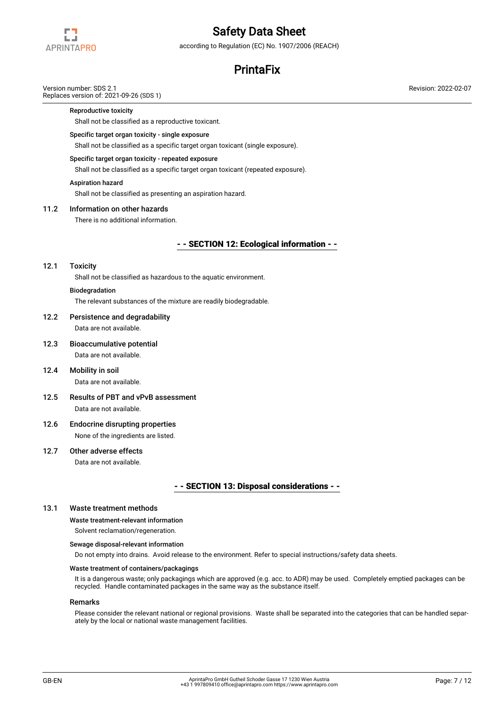

according to Regulation (EC) No. 1907/2006 (REACH)

## **PrintaFix**

## Version number: SDS 2.1

Replaces version of: 2021-09-26 (SDS 1)

#### Reproductive toxicity

Shall not be classified as a reproductive toxicant.

#### Specific target organ toxicity - single exposure

Shall not be classified as a specific target organ toxicant (single exposure).

#### Specific target organ toxicity - repeated exposure

Shall not be classified as a specific target organ toxicant (repeated exposure).

#### Aspiration hazard

Shall not be classified as presenting an aspiration hazard.

### 11.2 Information on other hazards

There is no additional information.

## - - SECTION 12: Ecological information - -

#### 12.1 Toxicity

Shall not be classified as hazardous to the aquatic environment.

## Biodegradation

The relevant substances of the mixture are readily biodegradable.

## 12.2 Persistence and degradability Data are not available.

- 12.3 Bioaccumulative potential Data are not available.
- 12.4 Mobility in soil Data are not available.
- 12.5 Results of PBT and vPvB assessment Data are not available.
- 12.6 Endocrine disrupting properties None of the ingredients are listed.

# 12.7 Other adverse effects

Data are not available.

## - - SECTION 13: Disposal considerations - -

#### 13.1 Waste treatment methods

### Waste treatment-relevant information

Solvent reclamation/regeneration.

#### Sewage disposal-relevant information

Do not empty into drains. Avoid release to the environment. Refer to special instructions/safety data sheets.

#### Waste treatment of containers/packagings

It is a dangerous waste; only packagings which are approved (e.g. acc. to ADR) may be used. Completely emptied packages can be recycled. Handle contaminated packages in the same way as the substance itself.

#### Remarks

Please consider the relevant national or regional provisions. Waste shall be separated into the categories that can be handled separately by the local or national waste management facilities.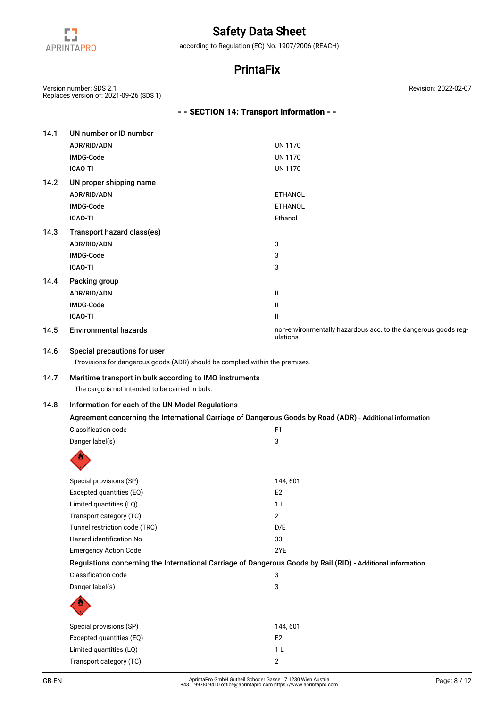

according to Regulation (EC) No. 1907/2006 (REACH)

## **PrintaFix**

Version number: SDS 2.1 Replaces version of: 2021-09-26 (SDS 1)

|      |                              | - - SECTION 14: Transport information - -                                    |
|------|------------------------------|------------------------------------------------------------------------------|
| 14.1 | UN number or ID number       |                                                                              |
|      | ADR/RID/ADN                  | <b>UN 1170</b>                                                               |
|      | <b>IMDG-Code</b>             | <b>UN 1170</b>                                                               |
|      | <b>ICAO-TI</b>               | <b>UN 1170</b>                                                               |
| 14.2 | UN proper shipping name      |                                                                              |
|      | ADR/RID/ADN                  | <b>ETHANOL</b>                                                               |
|      | <b>IMDG-Code</b>             | <b>ETHANOL</b>                                                               |
|      | <b>ICAO-TI</b>               | Ethanol                                                                      |
| 14.3 | Transport hazard class(es)   |                                                                              |
|      | ADR/RID/ADN                  | 3                                                                            |
|      | <b>IMDG-Code</b>             | 3                                                                            |
|      | <b>ICAO-TI</b>               | 3                                                                            |
| 14.4 | Packing group                |                                                                              |
|      | ADR/RID/ADN                  | Ш                                                                            |
|      | <b>IMDG-Code</b>             | Ш                                                                            |
|      | <b>ICAO-TI</b>               | Ш                                                                            |
| 14.5 | <b>Environmental hazards</b> | non-environmentally hazardous acc. to the dangerous goods reg-<br>ulations   |
| 14.6 | Special precautions for user |                                                                              |
|      |                              | Provisions for dangerous goods (ADR) should be complied within the premises. |
| 147  |                              | Maritime transport in bulk according to IMQ instruments                      |

14.7 Maritime transport in bulk according to IMO instruments

Limited quantities (LQ) 1 L Transport category (TC) 2

The cargo is not intended to be carried in bulk.

## 14.8 Information for each of the UN Model Regulations Agreement concerning the International Carriage of Dangerous Goods by Road (ADR) - Additional information

| Classification code                | F1             |  |
|------------------------------------|----------------|--|
| Danger label(s)                    | 3              |  |
| D)                                 |                |  |
| Special provisions (SP)            | 144, 601       |  |
| Excepted quantities (EQ)           | E <sub>2</sub> |  |
| $I$ imited quantities $(I \cap I)$ | 1 1            |  |

| Limited quantities (LQ)                                                                                     | 1 L            |
|-------------------------------------------------------------------------------------------------------------|----------------|
| Transport category (TC)                                                                                     | 2              |
| Tunnel restriction code (TRC)                                                                               | D/E            |
| Hazard identification No                                                                                    | 33             |
| <b>Emergency Action Code</b>                                                                                | 2YE            |
| Regulations concerning the International Carriage of Dangerous Goods by Rail (RID) - Additional information |                |
| Classification code                                                                                         | 3              |
| Danger label(s)                                                                                             | 3              |
|                                                                                                             |                |
| Special provisions (SP)                                                                                     | 144.601        |
| Excepted quantities (EQ)                                                                                    | E <sub>2</sub> |
|                                                                                                             |                |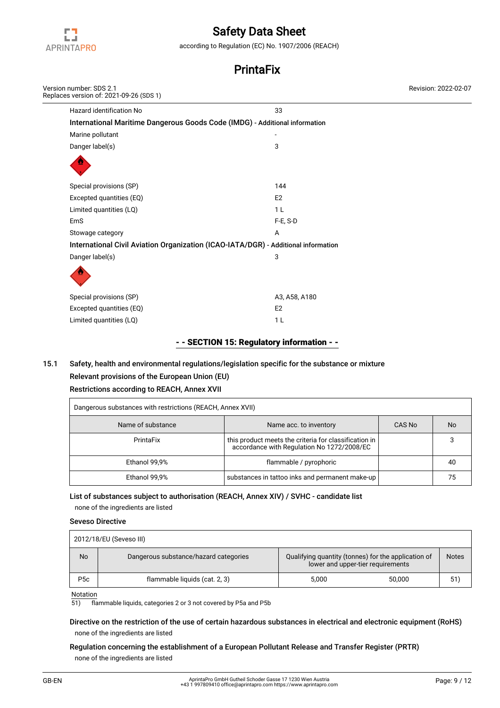

according to Regulation (EC) No. 1907/2006 (REACH)

## **PrintaFix**

| Version number: SDS 2.1<br>Replaces version of: 2021-09-26 (SDS 1)                 |                | Revision: 2022-02-07 |
|------------------------------------------------------------------------------------|----------------|----------------------|
| Hazard identification No                                                           | 33             |                      |
| International Maritime Dangerous Goods Code (IMDG) - Additional information        |                |                      |
| Marine pollutant                                                                   |                |                      |
| Danger label(s)                                                                    | 3              |                      |
|                                                                                    |                |                      |
| Special provisions (SP)                                                            | 144            |                      |
| Excepted quantities (EQ)                                                           | E <sub>2</sub> |                      |
| Limited quantities (LQ)                                                            | 1 <sub>L</sub> |                      |
| EmS                                                                                | F-E, S-D       |                      |
| Stowage category                                                                   | Α              |                      |
| International Civil Aviation Organization (ICAO-IATA/DGR) - Additional information |                |                      |
| Danger label(s)                                                                    | 3              |                      |
|                                                                                    |                |                      |
| Special provisions (SP)                                                            | A3, A58, A180  |                      |
| Excepted quantities (EQ)                                                           | E <sub>2</sub> |                      |
| Limited quantities (LQ)                                                            | 1 <sub>L</sub> |                      |

## - - SECTION 15: Regulatory information - -

## 15.1 Safety, health and environmental regulations/legislation specific for the substance or mixture Relevant provisions of the European Union (EU)

# Restrictions according to REACH, Annex XVII

| Dangerous substances with restrictions (REACH, Annex XVII) |                                                                                                     |        |           |  |  |  |  |
|------------------------------------------------------------|-----------------------------------------------------------------------------------------------------|--------|-----------|--|--|--|--|
| Name of substance                                          | Name acc. to inventory                                                                              | CAS No | <b>No</b> |  |  |  |  |
| PrintaFix                                                  | this product meets the criteria for classification in<br>accordance with Regulation No 1272/2008/EC |        |           |  |  |  |  |
| Ethanol 99,9%                                              | flammable / pyrophoric                                                                              |        | 40        |  |  |  |  |
| Ethanol 99,9%                                              | substances in tattoo inks and permanent make-up                                                     |        |           |  |  |  |  |

## List of substances subject to authorisation (REACH, Annex XIV) / SVHC - candidate list

none of the ingredients are listed

## Seveso Directive

| 2012/18/EU (Seveso III) |                                       |                                                                                          |        |              |  |  |  |
|-------------------------|---------------------------------------|------------------------------------------------------------------------------------------|--------|--------------|--|--|--|
| No                      | Dangerous substance/hazard categories | Qualifying quantity (tonnes) for the application of<br>lower and upper-tier requirements |        | <b>Notes</b> |  |  |  |
| P <sub>5</sub> c        | flammable liquids (cat. 2, 3)         | 5,000                                                                                    | 50.000 | 51)          |  |  |  |

 $\frac{\text{Notation}}{\text{51}}$ 

51) flammable liquids, categories 2 or 3 not covered by P5a and P5b

Directive on the restriction of the use of certain hazardous substances in electrical and electronic equipment (RoHS) none of the ingredients are listed

Regulation concerning the establishment of a European Pollutant Release and Transfer Register (PRTR) none of the ingredients are listed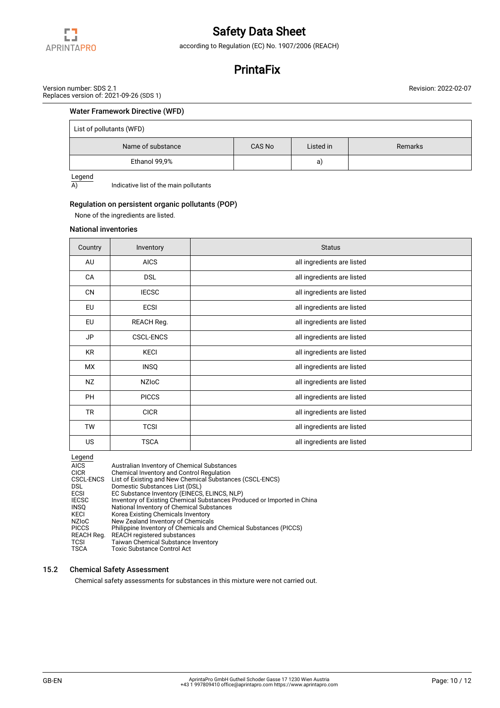

according to Regulation (EC) No. 1907/2006 (REACH)

## **PrintaFix**

Version number: SDS 2.1 Replaces version of: 2021-09-26 (SDS 1) Revision: 2022-02-07

## Water Framework Directive (WFD)

| List of pollutants (WFD) |        |           |         |  |  |  |  |
|--------------------------|--------|-----------|---------|--|--|--|--|
| Name of substance        | CAS No | Listed in | Remarks |  |  |  |  |
| Ethanol 99,9%            |        | a)        |         |  |  |  |  |

 $\frac{\text{Legend}}{\text{A}}$ 

Indicative list of the main pollutants

## Regulation on persistent organic pollutants (POP)

None of the ingredients are listed.

#### National inventories

| Country   | Inventory        | <b>Status</b>              |
|-----------|------------------|----------------------------|
| AU        | <b>AICS</b>      | all ingredients are listed |
| CA        | <b>DSL</b>       | all ingredients are listed |
| CN        | <b>IECSC</b>     | all ingredients are listed |
| EU        | <b>ECSI</b>      | all ingredients are listed |
| EU        | REACH Reg.       | all ingredients are listed |
| JP        | <b>CSCL-ENCS</b> | all ingredients are listed |
| KR        | <b>KECI</b>      | all ingredients are listed |
| МX        | <b>INSQ</b>      | all ingredients are listed |
| NZ        | <b>NZIOC</b>     | all ingredients are listed |
| <b>PH</b> | <b>PICCS</b>     | all ingredients are listed |
| <b>TR</b> | <b>CICR</b>      | all ingredients are listed |
| <b>TW</b> | <b>TCSI</b>      | all ingredients are listed |
| US.       | <b>TSCA</b>      | all ingredients are listed |

Legend

| . ت س            |                                                                         |
|------------------|-------------------------------------------------------------------------|
| <b>AICS</b>      | Australian Inventory of Chemical Substances                             |
| <b>CICR</b>      | Chemical Inventory and Control Regulation                               |
| <b>CSCL-ENCS</b> | List of Existing and New Chemical Substances (CSCL-ENCS)                |
| DSL.             | Domestic Substances List (DSL)                                          |
| <b>ECSI</b>      | EC Substance Inventory (EINECS, ELINCS, NLP)                            |
| <b>IECSC</b>     | Inventory of Existing Chemical Substances Produced or Imported in China |
| <b>INSO</b>      | National Inventory of Chemical Substances                               |
| KECI             | Korea Existing Chemicals Inventory                                      |
| <b>NZIOC</b>     | New Zealand Inventory of Chemicals                                      |
| <b>PICCS</b>     | Philippine Inventory of Chemicals and Chemical Substances (PICCS)       |
| REACH Reg.       | <b>REACH registered substances</b>                                      |
| <b>TCSI</b>      | <b>Taiwan Chemical Substance Inventory</b>                              |
| <b>TSCA</b>      | <b>Toxic Substance Control Act</b>                                      |
|                  |                                                                         |

## 15.2 Chemical Safety Assessment

Chemical safety assessments for substances in this mixture were not carried out.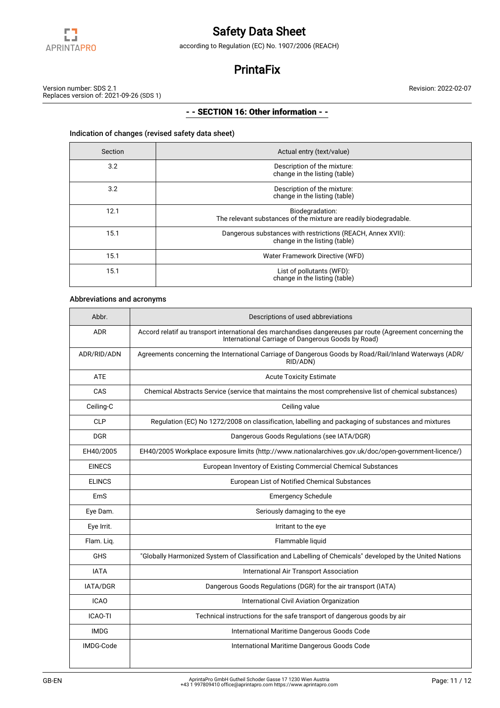

according to Regulation (EC) No. 1907/2006 (REACH)

## **PrintaFix**

Version number: SDS 2.1 Replaces version of: 2021-09-26 (SDS 1)

## - - SECTION 16: Other information - -

## Indication of changes (revised safety data sheet)

| Section | Actual entry (text/value)                                                                    |
|---------|----------------------------------------------------------------------------------------------|
| 3.2     | Description of the mixture:<br>change in the listing (table)                                 |
| 3.2     | Description of the mixture:<br>change in the listing (table)                                 |
| 12.1    | Biodegradation:<br>The relevant substances of the mixture are readily biodegradable.         |
| 15.1    | Dangerous substances with restrictions (REACH, Annex XVII):<br>change in the listing (table) |
| 15.1    | Water Framework Directive (WFD)                                                              |
| 15.1    | List of pollutants (WFD):<br>change in the listing (table)                                   |

## Abbreviations and acronyms

| Abbr.          | Descriptions of used abbreviations                                                                                                                               |
|----------------|------------------------------------------------------------------------------------------------------------------------------------------------------------------|
| <b>ADR</b>     | Accord relatif au transport international des marchandises dangereuses par route (Agreement concerning the<br>International Carriage of Dangerous Goods by Road) |
| ADR/RID/ADN    | Agreements concerning the International Carriage of Dangerous Goods by Road/Rail/Inland Waterways (ADR/<br>RID/ADN)                                              |
| <b>ATE</b>     | <b>Acute Toxicity Estimate</b>                                                                                                                                   |
| CAS            | Chemical Abstracts Service (service that maintains the most comprehensive list of chemical substances)                                                           |
| Ceiling-C      | Ceiling value                                                                                                                                                    |
| <b>CLP</b>     | Regulation (EC) No 1272/2008 on classification, labelling and packaging of substances and mixtures                                                               |
| <b>DGR</b>     | Dangerous Goods Regulations (see IATA/DGR)                                                                                                                       |
| EH40/2005      | EH40/2005 Workplace exposure limits (http://www.nationalarchives.gov.uk/doc/open-government-licence/)                                                            |
| <b>EINECS</b>  | European Inventory of Existing Commercial Chemical Substances                                                                                                    |
| <b>ELINCS</b>  | European List of Notified Chemical Substances                                                                                                                    |
| EmS            | <b>Emergency Schedule</b>                                                                                                                                        |
| Eye Dam.       | Seriously damaging to the eye                                                                                                                                    |
| Eye Irrit.     | Irritant to the eye                                                                                                                                              |
| Flam. Liq.     | Flammable liquid                                                                                                                                                 |
| <b>GHS</b>     | "Globally Harmonized System of Classification and Labelling of Chemicals" developed by the United Nations                                                        |
| <b>IATA</b>    | International Air Transport Association                                                                                                                          |
| IATA/DGR       | Dangerous Goods Regulations (DGR) for the air transport (IATA)                                                                                                   |
| <b>ICAO</b>    | International Civil Aviation Organization                                                                                                                        |
| <b>ICAO-TI</b> | Technical instructions for the safe transport of dangerous goods by air                                                                                          |
| <b>IMDG</b>    | International Maritime Dangerous Goods Code                                                                                                                      |
| IMDG-Code      | International Maritime Dangerous Goods Code                                                                                                                      |